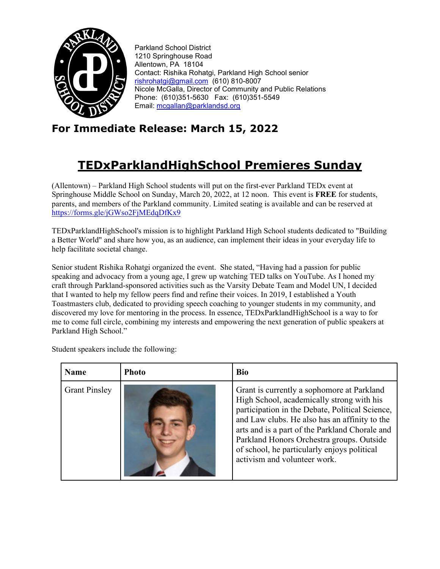

Parkland School District 1210 Springhouse Road Allentown, PA 18104 Contact: Rishika Rohatgi, Parkland High School senior [rishrohatgi@gmail.com](mailto:rishrohatgi@gmail.com) (610) 810-8007 Nicole McGalla, Director of Community and Public Relations Phone: (610)351-5630 Fax: (610)351-5549 Email: [mcgallan@parklandsd.org](mailto:mcgallan@parklandsd.org)

## **For Immediate Release: March 15, 2022**

## **TEDxParklandHighSchool Premieres Sunday**

(Allentown) – Parkland High School students will put on the first-ever Parkland TEDx event at Springhouse Middle School on Sunday, March 20, 2022, at 12 noon. This event is **FREE** for students, parents, and members of the Parkland community. Limited seating is available and can be reserved a[t](https://forms.gle/jGWso2FjMEdqDfKx9) <https://forms.gle/jGWso2FjMEdqDfKx9>

TEDxParklandHighSchool's mission is to highlight Parkland High School students dedicated to "Building a Better World" and share how you, as an audience, can implement their ideas in your everyday life to help facilitate societal change.

Senior student Rishika Rohatgi organized the event. She stated, "Having had a passion for public speaking and advocacy from a young age, I grew up watching TED talks on YouTube. As I honed my craft through Parkland-sponsored activities such as the Varsity Debate Team and Model UN, I decided that I wanted to help my fellow peers find and refine their voices. In 2019, I established a Youth Toastmasters club, dedicated to providing speech coaching to younger students in my community, and discovered my love for mentoring in the process. In essence, TEDxParklandHighSchool is a way to for me to come full circle, combining my interests and empowering the next generation of public speakers at Parkland High School."

| <b>Name</b>          | <b>Photo</b> | <b>Bio</b>                                                                                                                                                                                                                                                                                                                                                                |
|----------------------|--------------|---------------------------------------------------------------------------------------------------------------------------------------------------------------------------------------------------------------------------------------------------------------------------------------------------------------------------------------------------------------------------|
| <b>Grant Pinsley</b> |              | Grant is currently a sophomore at Parkland<br>High School, academically strong with his<br>participation in the Debate, Political Science,<br>and Law clubs. He also has an affinity to the<br>arts and is a part of the Parkland Chorale and<br>Parkland Honors Orchestra groups. Outside<br>of school, he particularly enjoys political<br>activism and volunteer work. |

Student speakers include the following: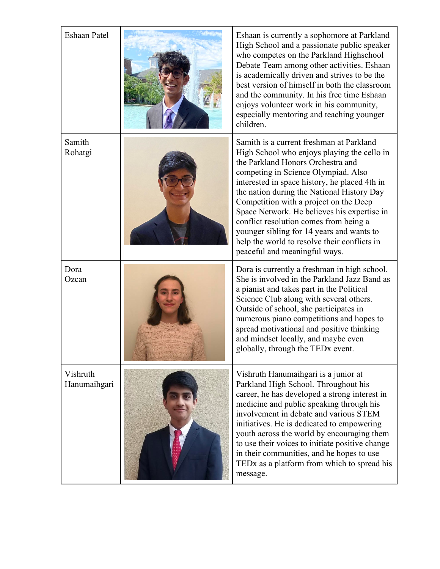| <b>Eshaan Patel</b>      | Eshaan is currently a sophomore at Parkland<br>High School and a passionate public speaker<br>who competes on the Parkland Highschool<br>Debate Team among other activities. Eshaan<br>is academically driven and strives to be the<br>best version of himself in both the classroom<br>and the community. In his free time Eshaan<br>enjoys volunteer work in his community,<br>especially mentoring and teaching younger<br>children.                                                                                             |
|--------------------------|-------------------------------------------------------------------------------------------------------------------------------------------------------------------------------------------------------------------------------------------------------------------------------------------------------------------------------------------------------------------------------------------------------------------------------------------------------------------------------------------------------------------------------------|
| Samith<br>Rohatgi        | Samith is a current freshman at Parkland<br>High School who enjoys playing the cello in<br>the Parkland Honors Orchestra and<br>competing in Science Olympiad. Also<br>interested in space history, he placed 4th in<br>the nation during the National History Day<br>Competition with a project on the Deep<br>Space Network. He believes his expertise in<br>conflict resolution comes from being a<br>younger sibling for 14 years and wants to<br>help the world to resolve their conflicts in<br>peaceful and meaningful ways. |
| Dora<br>Ozcan            | Dora is currently a freshman in high school.<br>She is involved in the Parkland Jazz Band as<br>a pianist and takes part in the Political<br>Science Club along with several others.<br>Outside of school, she participates in<br>numerous piano competitions and hopes to<br>spread motivational and positive thinking<br>and mindset locally, and maybe even<br>globally, through the TEDx event.                                                                                                                                 |
| Vishruth<br>Hanumaihgari | Vishruth Hanumaihgari is a junior at<br>Parkland High School. Throughout his<br>career, he has developed a strong interest in<br>medicine and public speaking through his<br>involvement in debate and various STEM<br>initiatives. He is dedicated to empowering<br>youth across the world by encouraging them<br>to use their voices to initiate positive change<br>in their communities, and he hopes to use<br>TEDx as a platform from which to spread his<br>message.                                                          |